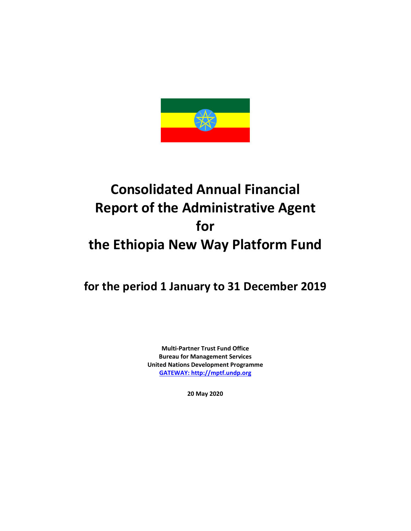

# **Consolidated Annual Financial Report of the Administrative Agent for the Ethiopia New Way Platform Fund**

**for the period 1 January to 31 December 2019**

**Multi-Partner Trust Fund Office Bureau for Management Services United Nations Development Programme [GATEWAY: http://mptf.undp.org](http://mptf.undp.org/)**

**20 May 2020**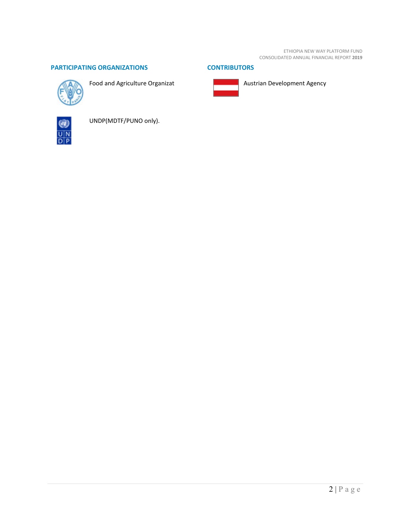ETHIOPIA NEW WAY PLATFORM FUND CONSOLIDATED ANNUAL FINANCIAL REPORT **2019**

## **PARTICIPATING ORGANIZATIONS CONTRIBUTORS**



Food and Agriculture Organizat





Austrian Development Agency



UNDP(MDTF/PUNO only).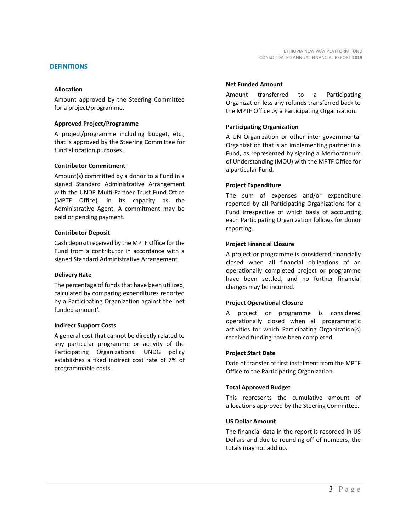## **DEFINITIONS**

## **Allocation**

Amount approved by the Steering Committee for a project/programme.

## **Approved Project/Programme**

A project/programme including budget, etc., that is approved by the Steering Committee for fund allocation purposes.

## **Contributor Commitment**

Amount(s) committed by a donor to a Fund in a signed Standard Administrative Arrangement with the UNDP Multi-Partner Trust Fund Office (MPTF Office), in its capacity as the Administrative Agent. A commitment may be paid or pending payment.

## **Contributor Deposit**

Cash deposit received by the MPTF Office for the Fund from a contributor in accordance with a signed Standard Administrative Arrangement.

## **Delivery Rate**

The percentage of funds that have been utilized, calculated by comparing expenditures reported by a Participating Organization against the 'net funded amount'.

## **Indirect Support Costs**

A general cost that cannot be directly related to any particular programme or activity of the Participating Organizations. UNDG policy establishes a fixed indirect cost rate of 7% of programmable costs.

## **Net Funded Amount**

Amount transferred to a Participating Organization less any refunds transferred back to the MPTF Office by a Participating Organization.

## **Participating Organization**

A UN Organization or other inter-governmental Organization that is an implementing partner in a Fund, as represented by signing a Memorandum of Understanding (MOU) with the MPTF Office for a particular Fund.

## **Project Expenditure**

The sum of expenses and/or expenditure reported by all Participating Organizations for a Fund irrespective of which basis of accounting each Participating Organization follows for donor reporting.

## **Project Financial Closure**

A project or programme is considered financially closed when all financial obligations of an operationally completed project or programme have been settled, and no further financial charges may be incurred.

## **Project Operational Closure**

A project or programme is considered operationally closed when all programmatic activities for which Participating Organization(s) received funding have been completed.

## **Project Start Date**

Date of transfer of first instalment from the MPTF Office to the Participating Organization.

## **Total Approved Budget**

This represents the cumulative amount of allocations approved by the Steering Committee.

## **US Dollar Amount**

The financial data in the report is recorded in US Dollars and due to rounding off of numbers, the totals may not add up.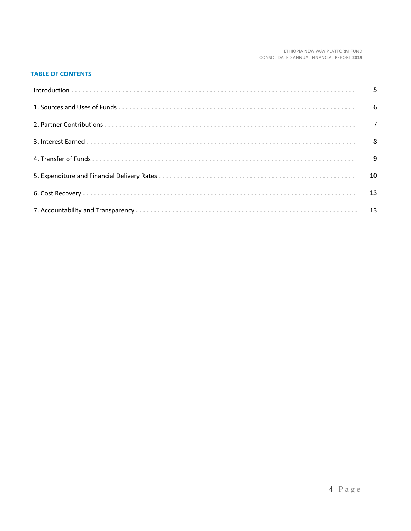#### ETHIOPIA NEW WAY PLATFORM FUND CONSOLIDATED ANNUAL FINANCIAL REPORT **2019**

## **TABLE OF CONTENTS**.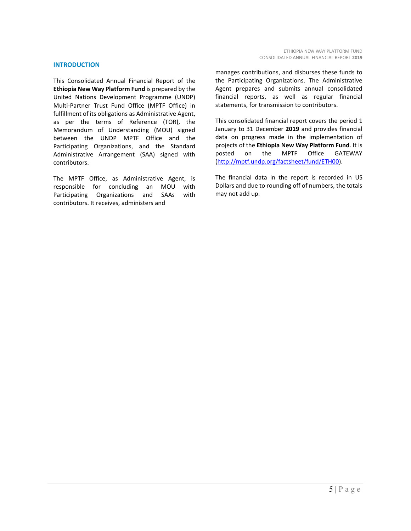## **INTRODUCTION**

This Consolidated Annual Financial Report of the **Ethiopia New Way Platform Fund** is prepared by the United Nations Development Programme (UNDP) Multi-Partner Trust Fund Office (MPTF Office) in fulfillment of its obligations as Administrative Agent, as per the terms of Reference (TOR), the Memorandum of Understanding (MOU) signed between the UNDP MPTF Office and the Participating Organizations, and the Standard Administrative Arrangement (SAA) signed with contributors.

The MPTF Office, as Administrative Agent, is responsible for concluding an MOU with Participating Organizations and SAAs with contributors. It receives, administers and

manages contributions, and disburses these funds to the Participating Organizations. The Administrative Agent prepares and submits annual consolidated financial reports, as well as regular financial statements, for transmission to contributors.

This consolidated financial report covers the period 1 January to 31 December **2019** and provides financial data on progress made in the implementation of projects of the **Ethiopia New Way Platform Fund**. It is posted on the MPTF Office GATEWAY [\(http://mptf.undp.org/factsheet/fund/ETH00\)](http://mptf.undp.org/factsheet/fund/ETH00).

The financial data in the report is recorded in US Dollars and due to rounding off of numbers, the totals may not add up.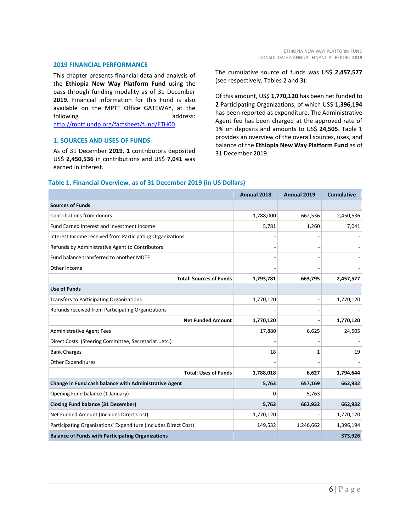#### **2019 FINANCIAL PERFORMANCE**

This chapter presents financial data and analysis of the **Ethiopia New Way Platform Fund** using the pass-through funding modality as of 31 December **2019**. Financial information for this Fund is also available on the MPTF Office GATEWAY, at the following address: [http://mptf.undp.org/factsheet/fund/ETH00.](http://mptf.undp.org/factsheet/fund/ETH00)

## **1. SOURCES AND USES OF FUNDS**

As of 31 December **2019**, **1** contributors deposited US\$ **2,450,536** in contributions and US\$ **7,041** was earned in interest.

The cumulative source of funds was US\$ **2,457,577** (see respectively, Tables 2 and 3).

Of this amount, US\$ **1,770,120** has been net funded to **2** Participating Organizations, of which US\$ **1,396,194** has been reported as expenditure. The Administrative Agent fee has been charged at the approved rate of 1% on deposits and amounts to US\$ **24,505**. Table 1 provides an overview of the overall sources, uses, and balance of the **Ethiopia New Way Platform Fund** as of 31 December 2019.

|                                                                 | Annual 2018  | Annual 2019 | <b>Cumulative</b> |
|-----------------------------------------------------------------|--------------|-------------|-------------------|
| <b>Sources of Funds</b>                                         |              |             |                   |
| Contributions from donors                                       | 1,788,000    | 662,536     | 2,450,536         |
| Fund Earned Interest and Investment Income                      | 5,781        | 1,260       | 7,041             |
| Interest Income received from Participating Organizations       |              |             |                   |
| Refunds by Administrative Agent to Contributors                 |              |             |                   |
| Fund balance transferred to another MDTF                        |              |             |                   |
| Other Income                                                    |              |             |                   |
| <b>Total: Sources of Funds</b>                                  | 1,793,781    | 663,795     | 2,457,577         |
| <b>Use of Funds</b>                                             |              |             |                   |
| Transfers to Participating Organizations                        | 1,770,120    |             | 1,770,120         |
| Refunds received from Participating Organizations               |              |             |                   |
| <b>Net Funded Amount</b>                                        | 1,770,120    |             | 1,770,120         |
| <b>Administrative Agent Fees</b>                                | 17,880       | 6,625       | 24,505            |
| Direct Costs: (Steering Committee, Secretariatetc.)             |              |             |                   |
| <b>Bank Charges</b>                                             | 18           | 1           | 19                |
| <b>Other Expenditures</b>                                       |              |             |                   |
| <b>Total: Uses of Funds</b>                                     | 1,788,018    | 6,627       | 1,794,644         |
| Change in Fund cash balance with Administrative Agent           | 5,763        | 657,169     | 662,932           |
| Opening Fund balance (1 January)                                | <sup>0</sup> | 5,763       |                   |
| <b>Closing Fund balance (31 December)</b>                       | 5,763        | 662,932     | 662,932           |
| Net Funded Amount (Includes Direct Cost)                        | 1,770,120    |             | 1,770,120         |
| Participating Organizations' Expenditure (Includes Direct Cost) | 149,532      | 1,246,662   | 1,396,194         |
| <b>Balance of Funds with Participating Organizations</b>        |              |             | 373,926           |

## **Table 1. Financial Overview, as of 31 December 2019 (in US Dollars)**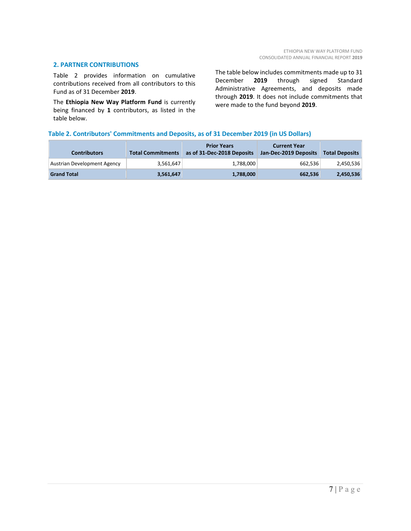## **2. PARTNER CONTRIBUTIONS**

Table 2 provides information on cumulative contributions received from all contributors to this Fund as of 31 December **2019**.

The **Ethiopia New Way Platform Fund** is currently being financed by **1** contributors, as listed in the table below.

The table below includes commitments made up to 31 December **2019** through signed Standard Administrative Agreements, and deposits made through **2019**. It does not include commitments that were made to the fund beyond **2019**.

## **Table 2. Contributors' Commitments and Deposits, as of 31 December 2019 (in US Dollars)**

| <b>Contributors</b>         | <b>Total Commitments</b> | <b>Prior Years</b><br>as of 31-Dec-2018 Deposits | <b>Current Year</b><br>Jan-Dec-2019 Deposits | <b>Total Deposits</b> |
|-----------------------------|--------------------------|--------------------------------------------------|----------------------------------------------|-----------------------|
| Austrian Development Agency | 3,561,647                | 1.788.000                                        | 662.536                                      | 2,450,536             |
| <b>Grand Total</b>          | 3,561,647                | 1,788,000                                        | 662,536                                      | 2,450,536             |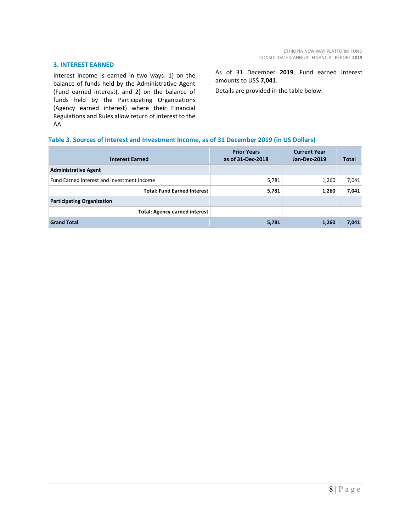## **3. INTEREST EARNED**

Interest income is earned in two ways: 1) on the balance of funds held by the Administrative Agent (Fund earned interest), and 2) on the balance of funds held by the Participating Organizations (Agency earned interest) where their Financial Regulations and Rules allow return of interest to the AA.

As of 31 December **2019**, Fund earned interest amounts to US\$ **7,041**.

Details are provided in the table below.

## **Table 3. Sources of Interest and Investment Income, as of 31 December 2019 (in US Dollars)**

| <b>Interest Earned</b>                     | <b>Prior Years</b><br>as of 31-Dec-2018 | <b>Current Year</b><br>Jan-Dec-2019 | Total |
|--------------------------------------------|-----------------------------------------|-------------------------------------|-------|
| <b>Administrative Agent</b>                |                                         |                                     |       |
| Fund Earned Interest and Investment Income | 5,781                                   | 1,260                               | 7,041 |
| <b>Total: Fund Earned Interest</b>         | 5,781                                   | 1,260                               | 7,041 |
| <b>Participating Organization</b>          |                                         |                                     |       |
| <b>Total: Agency earned interest</b>       |                                         |                                     |       |
| <b>Grand Total</b>                         | 5,781                                   | 1,260                               | 7,041 |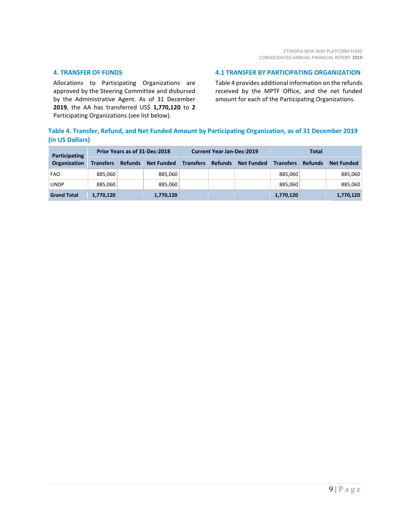## **4. TRANSFER OF FUNDS**

Allocations to Participating Organizations are approved by the Steering Committee and disbursed by the Administrative Agent. As of 31 December **2019**, the AA has transferred US\$ **1,770,120** to **2** Participating Organizations (see list below).

## **4.1 TRANSFER BY PARTICIPATING ORGANIZATION**

Table 4 provides additional information on the refunds received by the MPTF Office, and the net funded amount for each of the Participating Organizations.

## **Table 4. Transfer, Refund, and Net Funded Amount by Participating Organization, as of 31 December 2019 (in US Dollars)**

| Participating      | Prior Years as of 31-Dec-2018 |                |                   | <b>Current Year Jan-Dec-2019</b> |                |                   | Total            |                |                   |
|--------------------|-------------------------------|----------------|-------------------|----------------------------------|----------------|-------------------|------------------|----------------|-------------------|
| Organization       | <b>Transfers</b>              | <b>Refunds</b> | <b>Net Funded</b> | <b>Transfers</b>                 | <b>Refunds</b> | <b>Net Funded</b> | <b>Transfers</b> | <b>Refunds</b> | <b>Net Funded</b> |
| <b>FAO</b>         | 885,060                       |                | 885,060           |                                  |                |                   | 885.060          |                | 885,060           |
| <b>UNDP</b>        | 885,060                       |                | 885,060           |                                  |                |                   | 885.060          |                | 885,060           |
| <b>Grand Total</b> | 1,770,120                     |                | 1,770,120         |                                  |                |                   | 1,770,120        |                | 1,770,120         |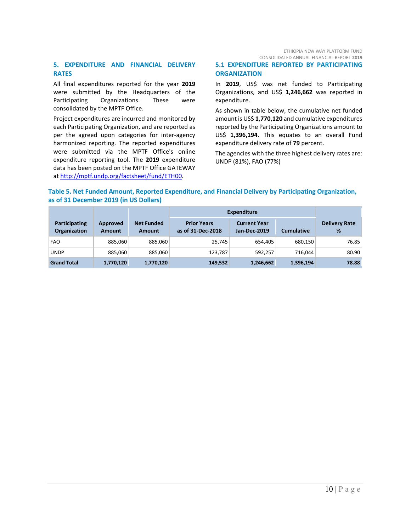ETHIOPIA NEW WAY PLATFORM FUND CONSOLIDATED ANNUAL FINANCIAL REPORT **2019**

## **5. EXPENDITURE AND FINANCIAL DELIVERY RATES**

All final expenditures reported for the year **2019** were submitted by the Headquarters of the Participating Organizations. These were consolidated by the MPTF Office.

Project expenditures are incurred and monitored by each Participating Organization, and are reported as per the agreed upon categories for inter-agency harmonized reporting. The reported expenditures were submitted via the MPTF Office's online expenditure reporting tool. The **2019** expenditure data has been posted on the MPTF Office GATEWAY at [http://mptf.undp.org/factsheet/fund/ETH00.](http://mptf.undp.org/factsheet/fund/ETH00)

## **5.1 EXPENDITURE REPORTED BY PARTICIPATING ORGANIZATION**

In **2019**, US\$ was net funded to Participating Organizations, and US\$ **1,246,662** was reported in expenditure.

As shown in table below, the cumulative net funded amount is US\$ **1,770,120** and cumulative expenditures reported by the Participating Organizations amount to US\$ **1,396,194**. This equates to an overall Fund expenditure delivery rate of **79** percent.

The agencies with the three highest delivery rates are: UNDP (81%), FAO (77%)

## **Table 5. Net Funded Amount, Reported Expenditure, and Financial Delivery by Participating Organization, as of 31 December 2019 (in US Dollars)**

|                                             |                           |                             | <b>Expenditure</b>                      |                                     |                   |                           |
|---------------------------------------------|---------------------------|-----------------------------|-----------------------------------------|-------------------------------------|-------------------|---------------------------|
| <b>Participating</b><br><b>Organization</b> | Approved<br><b>Amount</b> | <b>Net Funded</b><br>Amount | <b>Prior Years</b><br>as of 31-Dec-2018 | <b>Current Year</b><br>Jan-Dec-2019 | <b>Cumulative</b> | <b>Delivery Rate</b><br>% |
| <b>FAO</b>                                  | 885,060                   | 885,060                     | 25.745                                  | 654,405                             | 680.150           | 76.85                     |
| <b>UNDP</b>                                 | 885,060                   | 885,060                     | 123,787                                 | 592,257                             | 716.044           | 80.90                     |
| <b>Grand Total</b>                          | 1,770,120                 | 1,770,120                   | 149,532                                 | 1,246,662                           | 1,396,194         | 78.88                     |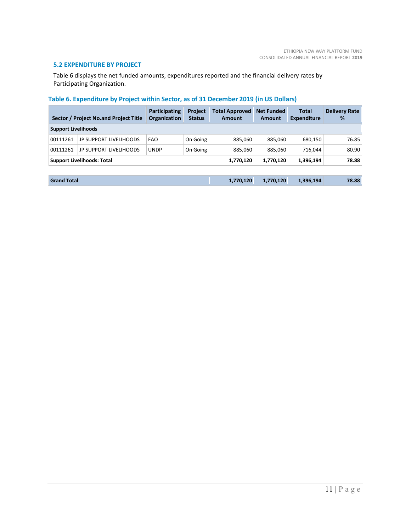## **5.2 EXPENDITURE BY PROJECT**

Table 6 displays the net funded amounts, expenditures reported and the financial delivery rates by Participating Organization.

## **Table 6. Expenditure by Project within Sector, as of 31 December 2019 (in US Dollars)**

|                            | Sector / Project No.and Project Title | <b>Participating</b><br>Organization | <b>Project</b><br><b>Status</b> | <b>Total Approved</b><br><b>Amount</b> | <b>Net Funded</b><br><b>Amount</b> | <b>Total</b><br><b>Expenditure</b> | <b>Delivery Rate</b><br>% |
|----------------------------|---------------------------------------|--------------------------------------|---------------------------------|----------------------------------------|------------------------------------|------------------------------------|---------------------------|
| <b>Support Livelihoods</b> |                                       |                                      |                                 |                                        |                                    |                                    |                           |
| 00111261                   | <b>JP SUPPORT LIVELIHOODS</b>         | <b>FAO</b>                           | On Going                        | 885,060                                | 885.060                            | 680,150                            | 76.85                     |
| 00111261                   | <b>JP SUPPORT LIVELIHOODS</b>         | <b>UNDP</b>                          | On Going                        | 885.060                                | 885,060                            | 716.044                            | 80.90                     |
|                            | <b>Support Livelihoods: Total</b>     |                                      |                                 | 1,770,120                              | 1,770,120                          | 1,396,194                          | 78.88                     |
|                            |                                       |                                      |                                 |                                        |                                    |                                    |                           |

| <b>Grand Total</b> | 1,770,120 | 1,770,120 | 1,396,194 | 78.88 |
|--------------------|-----------|-----------|-----------|-------|
|--------------------|-----------|-----------|-----------|-------|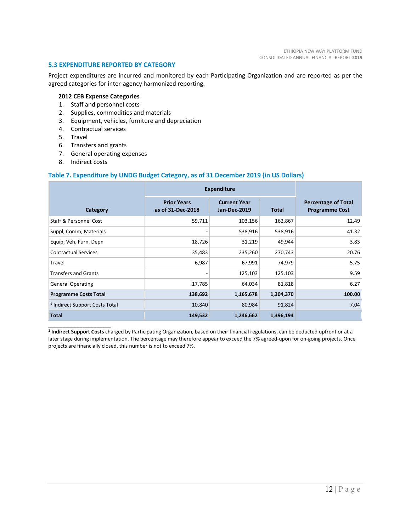## **5.3 EXPENDITURE REPORTED BY CATEGORY**

Project expenditures are incurred and monitored by each Participating Organization and are reported as per the agreed categories for inter-agency harmonized reporting.

## **2012 CEB Expense Categories**

- 1. Staff and personnel costs
- 2. Supplies, commodities and materials
- 3. Equipment, vehicles, furniture and depreciation
- 4. Contractual services
- 5. Travel
- 6. Transfers and grants
- 7. General operating expenses
- 8. Indirect costs

 $\_$ 

#### **Table 7. Expenditure by UNDG Budget Category, as of 31 December 2019 (in US Dollars)**

|                                           | <b>Expenditure</b>                      |                                     |              |                                                     |
|-------------------------------------------|-----------------------------------------|-------------------------------------|--------------|-----------------------------------------------------|
| Category                                  | <b>Prior Years</b><br>as of 31-Dec-2018 | <b>Current Year</b><br>Jan-Dec-2019 | <b>Total</b> | <b>Percentage of Total</b><br><b>Programme Cost</b> |
| <b>Staff &amp; Personnel Cost</b>         | 59,711                                  | 103,156                             | 162,867      | 12.49                                               |
| Suppl, Comm, Materials                    |                                         | 538,916                             | 538,916      | 41.32                                               |
| Equip, Veh, Furn, Depn                    | 18,726                                  | 31,219                              | 49,944       | 3.83                                                |
| <b>Contractual Services</b>               | 35,483                                  | 235,260                             | 270,743      | 20.76                                               |
| Travel                                    | 6,987                                   | 67,991                              | 74,979       | 5.75                                                |
| <b>Transfers and Grants</b>               |                                         | 125,103                             | 125,103      | 9.59                                                |
| <b>General Operating</b>                  | 17,785                                  | 64,034                              | 81,818       | 6.27                                                |
| <b>Programme Costs Total</b>              | 138,692                                 | 1,165,678                           | 1,304,370    | 100.00                                              |
| <sup>1</sup> Indirect Support Costs Total | 10,840                                  | 80,984                              | 91,824       | 7.04                                                |
| <b>Total</b>                              | 149,532                                 | 1,246,662                           | 1,396,194    |                                                     |

**<sup>1</sup> Indirect Support Costs** charged by Participating Organization, based on their financial regulations, can be deducted upfront or at a later stage during implementation. The percentage may therefore appear to exceed the 7% agreed-upon for on-going projects. Once projects are financially closed, this number is not to exceed 7%.